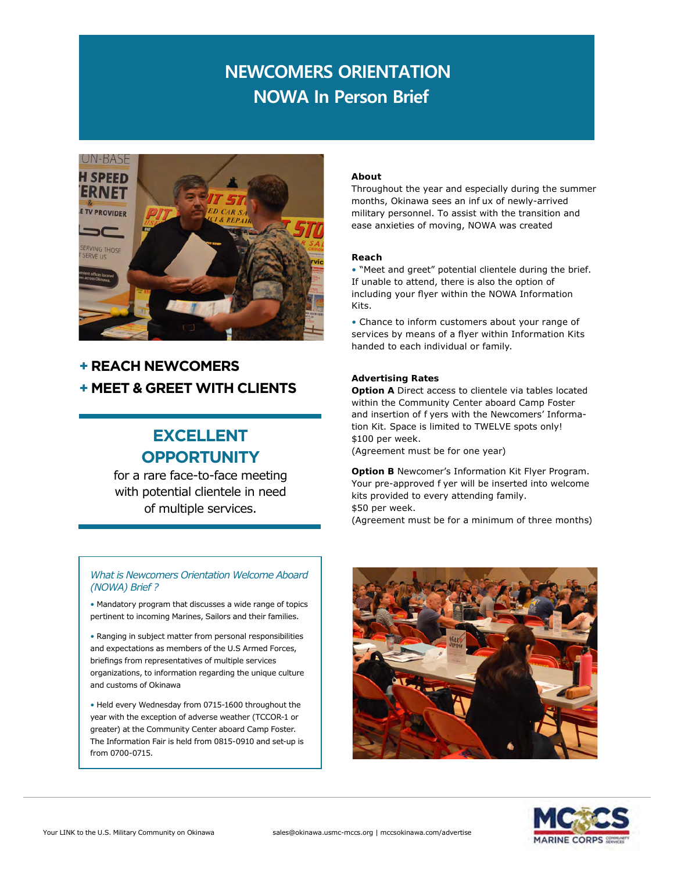# **NOWA In Person Brief NEWCOMERS ORIENTATION**



### **+ REACH NEWCOMERS + MEET & GREET WITH CLIENTS**

### **EXCELLENT OPPORTUNITY**

for a rare face-to-face meeting with potential clientele in need of multiple services.

#### *What is Newcomers Orientation Welcome Aboard (NOWA) Brief ?*

• Mandatory program that discusses a wide range of topics pertinent to incoming Marines, Sailors and their families.

• Ranging in subject matter from personal responsibilities and expectations as members of the U.S Armed Forces, briefings from representatives of multiple services organizations, to information regarding the unique culture and customs of Okinawa

• Held every Wednesday from 0715-1600 throughout the year with the exception of adverse weather (TCCOR-1 or greater) at the Community Center aboard Camp Foster. The Information Fair is held from 0815-0910 and set-up is from 0700-0715.

#### **About**

Throughout the year and especially during the summer months, Okinawa sees an inf ux of newly-arrived military personnel. To assist with the transition and ease anxieties of moving, NOWA was created

#### **Reach**

• "Meet and greet" potential clientele during the brief. If unable to attend, there is also the option of including your flyer within the NOWA Information Kits.

• Chance to inform customers about your range of services by means of a flyer within Information Kits handed to each individual or family.

#### **Advertising Rates**

**Option** A Direct access to clientele via tables located within the Community Center aboard Camp Foster and insertion of f yers with the Newcomers' Information Kit. Space is limited to TWELVE spots only! \$100 per week.

(Agreement must be for one year)

**Option B** Newcomer's Information Kit Flyer Program. Your pre-approved f yer will be inserted into welcome kits provided to every attending family. \$50 per week.

(Agreement must be for a minimum of three months)



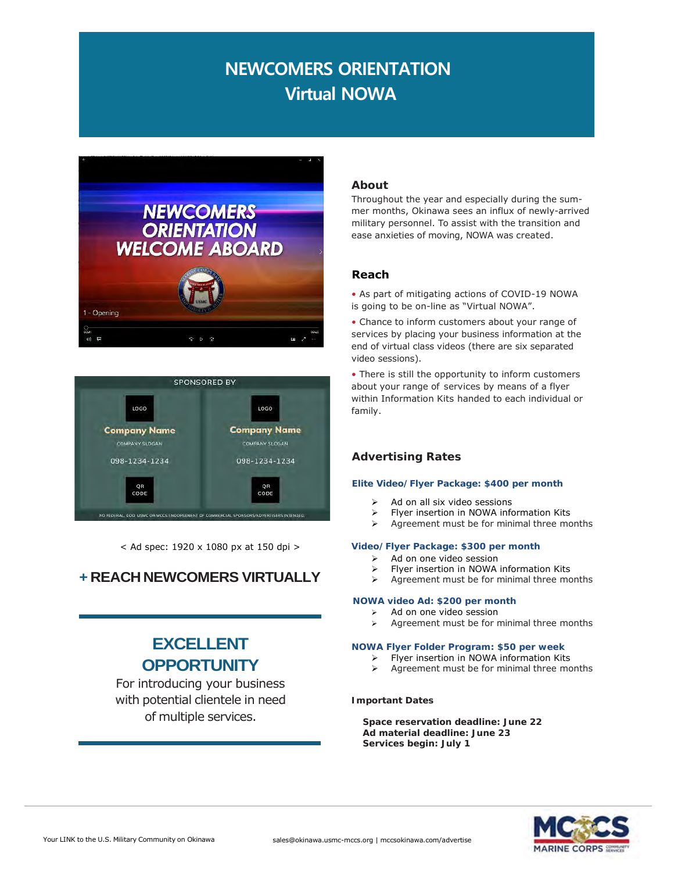# **NEWCOMERS ORIENTATION Virtual NOWA**





< Ad spec: 1920 x 1080 px at 150 dpi >

### **+ REACHNEWCOMERS VIRTUALLY**

## **EXCELLENT OPPORTUNITY**

For introducing your business with potential clientele in need of multiple services.

#### **About**

Throughout the year and especially during the summer months, Okinawa sees an influx of newly-arrived military personnel. To assist with the transition and ease anxieties of moving, NOWA was created.

#### **Reach**

• As part of mitigating actions of COVID-19 NOWA is going to be on-line as "Virtual NOWA".

• Chance to inform customers about your range of services by placing your business information at the end of virtual class videos (there are six separated video sessions).

• There is still the opportunity to inform customers about your range of services by means of a flyer within Information Kits handed to each individual or family.

#### **Advertising Rates**

#### **Elite Video/Flyer Package: \$400 per month**

- $\triangleright$  Ad on all six video sessions
- Flyer insertion in NOWA information Kits
- $\triangleright$  Agreement must be for minimal three months

#### **Video/Flyer Package: \$300 per month**

- $\triangleright$  Ad on one video session
- $\triangleright$  Flyer insertion in NOWA information Kits<br> $\triangleright$  Agreement must be for minimal three mo
- Agreement must be for minimal three months

#### **NOWA video Ad: \$200 per month**

- Ad on one video session
	- Agreement must be for minimal three months

#### **NOWA Flyer Folder Program: \$50 per week**

- $\triangleright$  Flyer insertion in NOWA information Kits
- $\triangleright$  Agreement must be for minimal three months

#### **Important Dates**

**Space reservation deadline: June 22 Ad material deadline: June 23 Services begin: July 1**